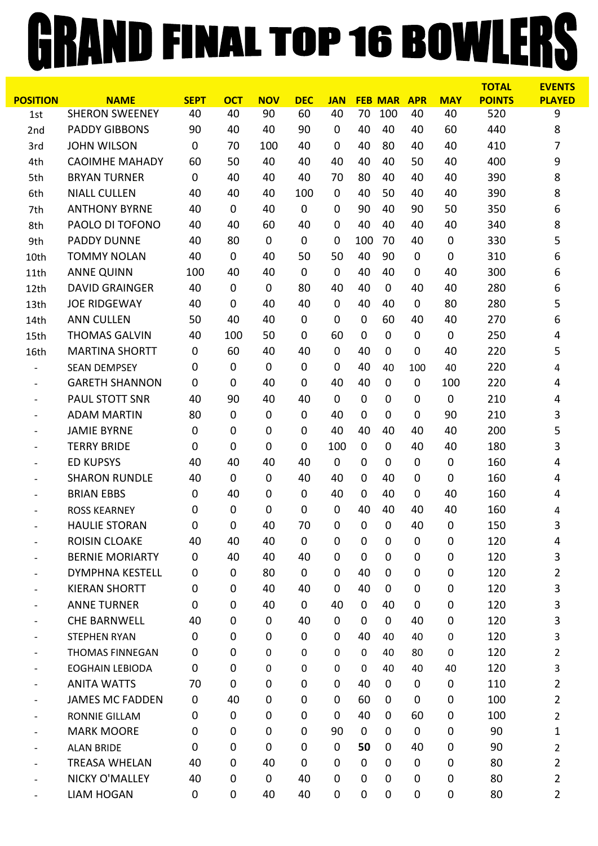## GRAND FINAL TOP 16 BOWLERS

|                          |                        |             |             |             |             |             |             |                |             |             | <b>TOTAL</b>  | <b>EVENTS</b>  |
|--------------------------|------------------------|-------------|-------------|-------------|-------------|-------------|-------------|----------------|-------------|-------------|---------------|----------------|
| <b>POSITION</b>          | <b>NAME</b>            | <b>SEPT</b> | <b>OCT</b>  | <b>NOV</b>  | <b>DEC</b>  | <b>JAN</b>  |             | <b>FEB MAR</b> | <b>APR</b>  | <b>MAY</b>  | <b>POINTS</b> | <b>PLAYED</b>  |
| 1st                      | <b>SHERON SWEENEY</b>  | 40          | 40          | 90          | 60          | 40          | 70          | 100            | 40          | 40          | 520           | 9              |
| 2nd                      | <b>PADDY GIBBONS</b>   | 90          | 40          | 40          | 90          | 0           | 40          | 40             | 40          | 60          | 440           | 8              |
| 3rd                      | <b>JOHN WILSON</b>     | $\mathbf 0$ | 70          | 100         | 40          | 0           | 40          | 80             | 40          | 40          | 410           | 7              |
| 4th                      | <b>CAOIMHE MAHADY</b>  | 60          | 50          | 40          | 40          | 40          | 40          | 40             | 50          | 40          | 400           | 9              |
| 5th                      | <b>BRYAN TURNER</b>    | $\mathbf 0$ | 40          | 40          | 40          | 70          | 80          | 40             | 40          | 40          | 390           | 8              |
| 6th                      | <b>NIALL CULLEN</b>    | 40          | 40          | 40          | 100         | $\mathbf 0$ | 40          | 50             | 40          | 40          | 390           | 8              |
| 7th                      | <b>ANTHONY BYRNE</b>   | 40          | $\mathbf 0$ | 40          | $\mathbf 0$ | 0           | 90          | 40             | 90          | 50          | 350           | 6              |
| 8th                      | PAOLO DI TOFONO        | 40          | 40          | 60          | 40          | 0           | 40          | 40             | 40          | 40          | 340           | 8              |
| 9th                      | <b>PADDY DUNNE</b>     | 40          | 80          | $\mathbf 0$ | $\mathbf 0$ | 0           | 100         | 70             | 40          | $\mathbf 0$ | 330           | 5              |
| 10th                     | <b>TOMMY NOLAN</b>     | 40          | $\mathbf 0$ | 40          | 50          | 50          | 40          | 90             | 0           | $\mathbf 0$ | 310           | 6              |
| 11th                     | <b>ANNE QUINN</b>      | 100         | 40          | 40          | $\mathbf 0$ | 0           | 40          | 40             | 0           | 40          | 300           | 6              |
| 12th                     | <b>DAVID GRAINGER</b>  | 40          | $\mathbf 0$ | 0           | 80          | 40          | 40          | $\mathbf 0$    | 40          | 40          | 280           | 6              |
| 13th                     | <b>JOE RIDGEWAY</b>    | 40          | $\mathbf 0$ | 40          | 40          | $\mathbf 0$ | 40          | 40             | 0           | 80          | 280           | 5              |
| 14th                     | <b>ANN CULLEN</b>      | 50          | 40          | 40          | $\mathbf 0$ | 0           | $\mathbf 0$ | 60             | 40          | 40          | 270           | 6              |
| 15th                     | <b>THOMAS GALVIN</b>   | 40          | 100         | 50          | $\mathbf 0$ | 60          | 0           | $\mathbf 0$    | 0           | $\mathbf 0$ | 250           | 4              |
| 16th                     | <b>MARTINA SHORTT</b>  | $\mathbf 0$ | 60          | 40          | 40          | 0           | 40          | $\mathbf 0$    | $\mathbf 0$ | 40          | 220           | 5              |
| $\overline{\phantom{a}}$ | <b>SEAN DEMPSEY</b>    | $\mathbf 0$ | $\mathbf 0$ | 0           | $\mathbf 0$ | 0           | 40          | 40             | 100         | 40          | 220           | 4              |
| $\overline{\phantom{a}}$ | <b>GARETH SHANNON</b>  | 0           | $\mathbf 0$ | 40          | $\mathbf 0$ | 40          | 40          | $\mathbf 0$    | 0           | 100         | 220           | 4              |
| $\overline{\phantom{a}}$ | <b>PAUL STOTT SNR</b>  | 40          | 90          | 40          | 40          | $\mathbf 0$ | 0           | 0              | 0           | $\mathbf 0$ | 210           | 4              |
| $\overline{\phantom{a}}$ | <b>ADAM MARTIN</b>     | 80          | $\mathbf 0$ | 0           | $\mathbf 0$ | 40          | $\mathbf 0$ | $\mathbf 0$    | $\mathbf 0$ | 90          | 210           | 3              |
| $\overline{\phantom{a}}$ | <b>JAMIE BYRNE</b>     | $\mathbf 0$ | $\mathbf 0$ | 0           | $\mathbf 0$ | 40          | 40          | 40             | 40          | 40          | 200           | 5              |
| $\overline{\phantom{0}}$ | <b>TERRY BRIDE</b>     | $\mathbf 0$ | $\mathbf 0$ | 0           | $\mathbf 0$ | 100         | $\mathbf 0$ | $\mathbf 0$    | 40          | 40          | 180           | 3              |
| $\overline{\phantom{a}}$ | <b>ED KUPSYS</b>       | 40          | 40          | 40          | 40          | $\mathbf 0$ | 0           | $\mathbf 0$    | 0           | $\mathbf 0$ | 160           | 4              |
| $\overline{\phantom{a}}$ | <b>SHARON RUNDLE</b>   | 40          | $\mathbf 0$ | 0           | 40          | 40          | 0           | 40             | 0           | $\mathbf 0$ | 160           | 4              |
| $\overline{\phantom{a}}$ | <b>BRIAN EBBS</b>      | $\mathbf 0$ | 40          | 0           | $\mathbf 0$ | 40          | 0           | 40             | $\mathbf 0$ | 40          | 160           | 4              |
| $\overline{\phantom{a}}$ | <b>ROSS KEARNEY</b>    | $\mathbf 0$ | $\mathbf 0$ | 0           | 0           | 0           | 40          | 40             | 40          | 40          | 160           | 4              |
|                          | <b>HAULIE STORAN</b>   | 0           | $\mathbf 0$ | 40          | 70          | 0           | 0           | 0              | 40          | $\mathbf 0$ | 150           | 3              |
| $\overline{\phantom{a}}$ | <b>ROISIN CLOAKE</b>   | 40          | 40          | 40          | $\pmb{0}$   | $\mathbf 0$ | $\mathbf 0$ | $\mathbf 0$    | $\mathbf 0$ | 0           | 120           | 4              |
| $\overline{\phantom{a}}$ | <b>BERNIE MORIARTY</b> | $\mathbf 0$ | 40          | 40          | 40          | $\mathbf 0$ | $\mathbf 0$ | 0              | 0           | $\mathbf 0$ | 120           | 3              |
|                          | <b>DYMPHNA KESTELL</b> | 0           | 0           | 80          | $\mathbf 0$ | 0           | 40          | $\mathbf 0$    | $\mathbf 0$ | 0           | 120           | $\overline{2}$ |
|                          | <b>KIERAN SHORTT</b>   | $\mathbf 0$ | 0           | 40          | 40          | 0           | 40          | 0              | 0           | $\mathbf 0$ | 120           | 3              |
| $\overline{\phantom{a}}$ | <b>ANNE TURNER</b>     | 0           | $\mathbf 0$ | 40          | 0           | 40          | 0           | 40             | 0           | $\mathbf 0$ | 120           | 3              |
| $\overline{\phantom{a}}$ | <b>CHE BARNWELL</b>    | 40          | $\mathbf 0$ | 0           | 40          | 0           | $\mathbf 0$ | $\mathbf 0$    | 40          | 0           | 120           | 3              |
| $\overline{\phantom{a}}$ | <b>STEPHEN RYAN</b>    | 0           | 0           | 0           | 0           | 0           | 40          | 40             | 40          | 0           | 120           | 3              |
|                          | <b>THOMAS FINNEGAN</b> | 0           | $\mathbf 0$ | 0           | $\mathbf 0$ | 0           | 0           | 40             | 80          | 0           | 120           | $\overline{2}$ |
| $\overline{\phantom{a}}$ | <b>EOGHAIN LEBIODA</b> | $\mathbf 0$ | $\mathbf 0$ | 0           | $\pmb{0}$   | 0           | 0           | 40             | 40          | 40          | 120           | 3              |
| $\overline{\phantom{a}}$ | <b>ANITA WATTS</b>     | 70          | 0           | $\mathbf 0$ | 0           | 0           | 40          | $\mathbf 0$    | 0           | 0           | 110           | $\overline{2}$ |
| $\overline{\phantom{a}}$ | <b>JAMES MC FADDEN</b> | 0           | 40          | 0           | $\pmb{0}$   | 0           | 60          | 0              | 0           | 0           | 100           | $\overline{2}$ |
|                          | RONNIE GILLAM          | $\mathbf 0$ | $\mathbf 0$ | 0           | 0           | 0           | 40          | 0              | 60          | $\mathbf 0$ | 100           | $\overline{2}$ |
| $\overline{\phantom{a}}$ | <b>MARK MOORE</b>      | $\mathbf 0$ | $\mathbf 0$ | 0           | $\mathbf 0$ | 90          | $\mathbf 0$ | 0              | 0           | $\mathbf 0$ | 90            | $\mathbf 1$    |
| $\overline{\phantom{a}}$ | <b>ALAN BRIDE</b>      | 0           | $\mathbf 0$ | $\mathbf 0$ | $\mathbf 0$ | 0           | 50          | 0              | 40          | 0           | 90            | $\overline{2}$ |
| $\overline{\phantom{a}}$ | <b>TREASA WHELAN</b>   | 40          | 0           | 40          | 0           | 0           | $\mathbf 0$ | 0              | 0           | 0           | 80            | $\overline{2}$ |
|                          | NICKY O'MALLEY         | 40          | 0           | 0           | 40          | 0           | $\mathbf 0$ | 0              | 0           | $\mathbf 0$ | 80            | $\overline{2}$ |
| $\overline{\phantom{a}}$ | <b>LIAM HOGAN</b>      | 0           | 0           | 40          | 40          | 0           | $\mathbf 0$ | $\mathbf 0$    | 0           | $\pmb{0}$   | 80            | $\overline{2}$ |
|                          |                        |             |             |             |             |             |             |                |             |             |               |                |